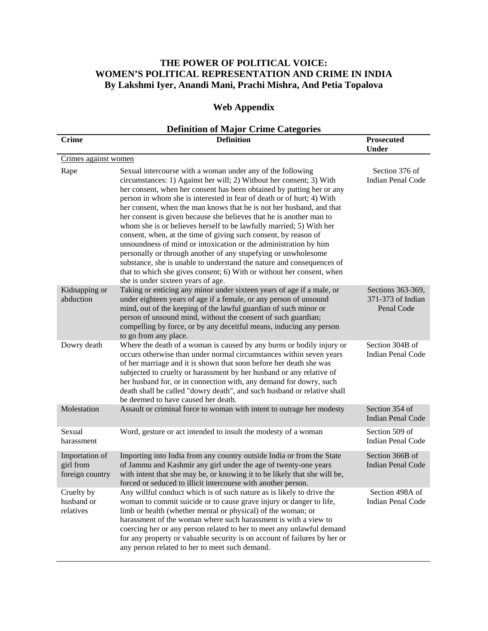## **THE POWER OF POLITICAL VOICE: WOMEN'S POLITICAL REPRESENTATION AND CRIME IN INDIA By Lakshmi Iyer, Anandi Mani, Prachi Mishra, And Petia Topalova**

## **Web Appendix**

## **Definition of Major Crime Categories**

| <b>Crime</b>                                   | <b>Definition</b>                                                                                                                                                                                                                                                                                                                                                                                                                                                                                                                                                                                                                                                                                                                                                                                                                                                                                          | <b>Prosecuted</b><br><b>Under</b>                    |  |
|------------------------------------------------|------------------------------------------------------------------------------------------------------------------------------------------------------------------------------------------------------------------------------------------------------------------------------------------------------------------------------------------------------------------------------------------------------------------------------------------------------------------------------------------------------------------------------------------------------------------------------------------------------------------------------------------------------------------------------------------------------------------------------------------------------------------------------------------------------------------------------------------------------------------------------------------------------------|------------------------------------------------------|--|
| Crimes against women                           |                                                                                                                                                                                                                                                                                                                                                                                                                                                                                                                                                                                                                                                                                                                                                                                                                                                                                                            |                                                      |  |
| Rape                                           | Sexual intercourse with a woman under any of the following<br>circumstances: 1) Against her will; 2) Without her consent; 3) With<br>her consent, when her consent has been obtained by putting her or any<br>person in whom she is interested in fear of death or of hurt; 4) With<br>her consent, when the man knows that he is not her husband, and that<br>her consent is given because she believes that he is another man to<br>whom she is or believes herself to be lawfully married; 5) With her<br>consent, when, at the time of giving such consent, by reason of<br>unsoundness of mind or intoxication or the administration by him<br>personally or through another of any stupefying or unwholesome<br>substance, she is unable to understand the nature and consequences of<br>that to which she gives consent; 6) With or without her consent, when<br>she is under sixteen years of age. | Section 376 of<br>Indian Penal Code                  |  |
| Kidnapping or<br>abduction                     | Taking or enticing any minor under sixteen years of age if a male, or<br>under eighteen years of age if a female, or any person of unsound<br>mind, out of the keeping of the lawful guardian of such minor or<br>person of unsound mind, without the consent of such guardian;<br>compelling by force, or by any deceitful means, inducing any person<br>to go from any place.                                                                                                                                                                                                                                                                                                                                                                                                                                                                                                                            | Sections 363-369,<br>371-373 of Indian<br>Penal Code |  |
| Dowry death                                    | Where the death of a woman is caused by any burns or bodily injury or<br>occurs otherwise than under normal circumstances within seven years<br>of her marriage and it is shown that soon before her death she was<br>subjected to cruelty or harassment by her husband or any relative of<br>her husband for, or in connection with, any demand for dowry, such<br>death shall be called "dowry death", and such husband or relative shall<br>be deemed to have caused her death.                                                                                                                                                                                                                                                                                                                                                                                                                         | Section 304B of<br><b>Indian Penal Code</b>          |  |
| Molestation                                    | Assault or criminal force to woman with intent to outrage her modesty                                                                                                                                                                                                                                                                                                                                                                                                                                                                                                                                                                                                                                                                                                                                                                                                                                      | Section 354 of<br><b>Indian Penal Code</b>           |  |
| Sexual<br>harassment                           | Word, gesture or act intended to insult the modesty of a woman                                                                                                                                                                                                                                                                                                                                                                                                                                                                                                                                                                                                                                                                                                                                                                                                                                             | Section 509 of<br><b>Indian Penal Code</b>           |  |
| Importation of<br>girl from<br>foreign country | Importing into India from any country outside India or from the State<br>of Jammu and Kashmir any girl under the age of twenty-one years<br>with intent that she may be, or knowing it to be likely that she will be,<br>forced or seduced to illicit intercourse with another person.                                                                                                                                                                                                                                                                                                                                                                                                                                                                                                                                                                                                                     | Section 366B of<br><b>Indian Penal Code</b>          |  |
| Cruelty by<br>husband or<br>relatives          | Any willful conduct which is of such nature as is likely to drive the<br>woman to commit suicide or to cause grave injury or danger to life,<br>limb or health (whether mental or physical) of the woman; or<br>harassment of the woman where such harassment is with a view to<br>coercing her or any person related to her to meet any unlawful demand<br>for any property or valuable security is on account of failures by her or<br>any person related to her to meet such demand.                                                                                                                                                                                                                                                                                                                                                                                                                    | Section 498A of<br><b>Indian Penal Code</b>          |  |